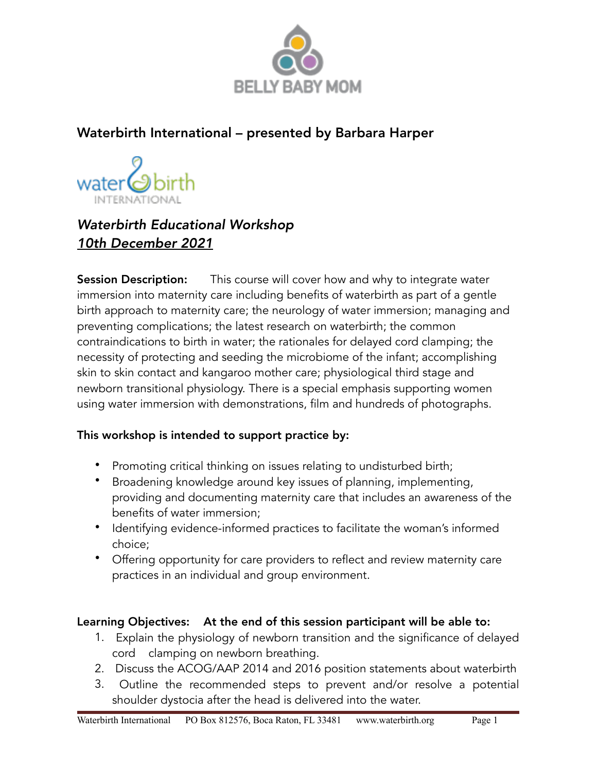

## Waterbirth International – presented by Barbara Harper



# *Waterbirth Educational Workshop 10th December 2021*

**Session Description:** This course will cover how and why to integrate water immersion into maternity care including benefits of waterbirth as part of a gentle birth approach to maternity care; the neurology of water immersion; managing and preventing complications; the latest research on waterbirth; the common contraindications to birth in water; the rationales for delayed cord clamping; the necessity of protecting and seeding the microbiome of the infant; accomplishing skin to skin contact and kangaroo mother care; physiological third stage and newborn transitional physiology. There is a special emphasis supporting women using water immersion with demonstrations, film and hundreds of photographs.

## This workshop is intended to support practice by:

- Promoting critical thinking on issues relating to undisturbed birth;
- Broadening knowledge around key issues of planning, implementing, providing and documenting maternity care that includes an awareness of the benefits of water immersion;
- Identifying evidence-informed practices to facilitate the woman's informed choice;
- Offering opportunity for care providers to reflect and review maternity care practices in an individual and group environment.

## Learning Objectives: At the end of this session participant will be able to:

- 1. Explain the physiology of newborn transition and the significance of delayed cord clamping on newborn breathing.
- 2. Discuss the ACOG/AAP 2014 and 2016 position statements about waterbirth
- 3. Outline the recommended steps to prevent and/or resolve a potential shoulder dystocia after the head is delivered into the water.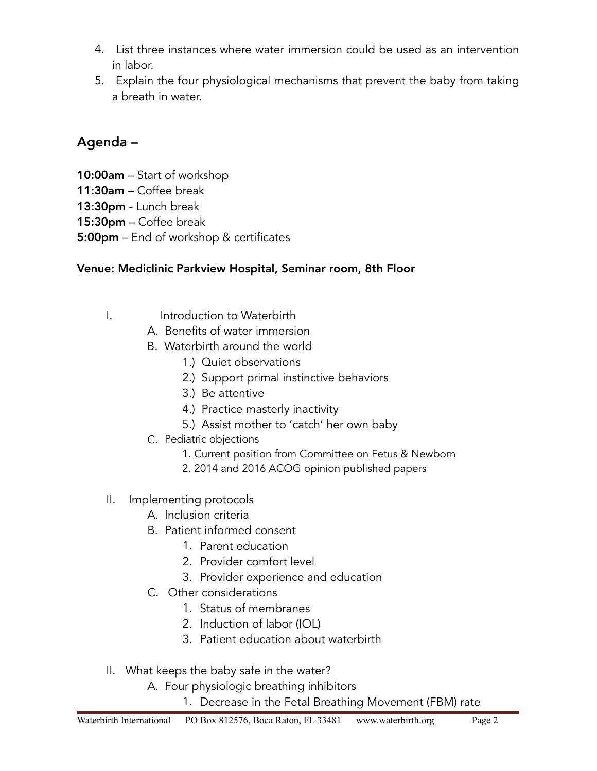- 4. List three instances where water immersion could be used as an intervention in labor.
- 5. Explain the four physiological mechanisms that prevent the baby from taking a breath in water.

## Agenda –

- 10:00am Start of workshop
- 11:30am Coffee break
- 13:30pm Lunch break
- 15:30pm Coffee break
- 5:00pm End of workshop & certificates

## Venue: Mediclinic Parkview Hospital, Seminar room, 8th Floor

- I. Introduction to Waterbirth
	- A. Benefits of water immersion
	- B. Waterbirth around the world
		- 1.) Quiet observations
		- 2.) Support primal instinctive behaviors
		- 3.) Be attentive
		- 4.) Practice masterly inactivity
		- 5.) Assist mother to 'catch' her own baby
	- C. Pediatric objections
		- 1. Current position from Committee on Fetus & Newborn
		- 2. 2014 and 2016 ACOG opinion published papers
- II. Implementing protocols
	- A. Inclusion criteria
	- B. Patient informed consent
		- 1. Parent education
		- 2. Provider comfort level
		- 3. Provider experience and education
	- C. Other considerations
		- 1. Status of membranes
		- 2. Induction of labor (IOL)
		- 3. Patient education about waterbirth
- II. What keeps the baby safe in the water?
	- A. Four physiologic breathing inhibitors
		- 1. Decrease in the Fetal Breathing Movement (FBM) rate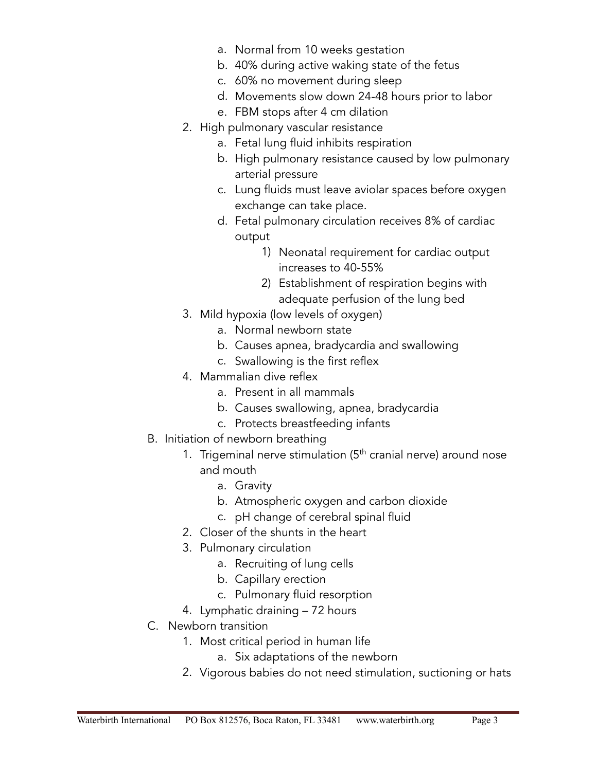- a. Normal from 10 weeks gestation
- b. 40% during active waking state of the fetus
- c. 60% no movement during sleep
- d. Movements slow down 24-48 hours prior to labor
- e. FBM stops after 4 cm dilation
- 2. High pulmonary vascular resistance
	- a. Fetal lung fluid inhibits respiration
	- b. High pulmonary resistance caused by low pulmonary arterial pressure
	- c. Lung fluids must leave aviolar spaces before oxygen exchange can take place.
	- d. Fetal pulmonary circulation receives 8% of cardiac output
		- 1) Neonatal requirement for cardiac output increases to 40-55%
		- 2) Establishment of respiration begins with adequate perfusion of the lung bed
- 3. Mild hypoxia (low levels of oxygen)
	- a. Normal newborn state
	- b. Causes apnea, bradycardia and swallowing
	- c. Swallowing is the first reflex
- 4. Mammalian dive reflex
	- a. Present in all mammals
	- b. Causes swallowing, apnea, bradycardia
	- c. Protects breastfeeding infants
- B. Initiation of newborn breathing
	- 1. Trigeminal nerve stimulation  $(5<sup>th</sup>$  cranial nerve) around nose and mouth
		- a. Gravity
		- b. Atmospheric oxygen and carbon dioxide
		- c. pH change of cerebral spinal fluid
	- 2. Closer of the shunts in the heart
	- 3. Pulmonary circulation
		- a. Recruiting of lung cells
		- b. Capillary erection
		- c. Pulmonary fluid resorption
	- 4. Lymphatic draining 72 hours
- C. Newborn transition
	- 1. Most critical period in human life
		- a. Six adaptations of the newborn
	- 2. Vigorous babies do not need stimulation, suctioning or hats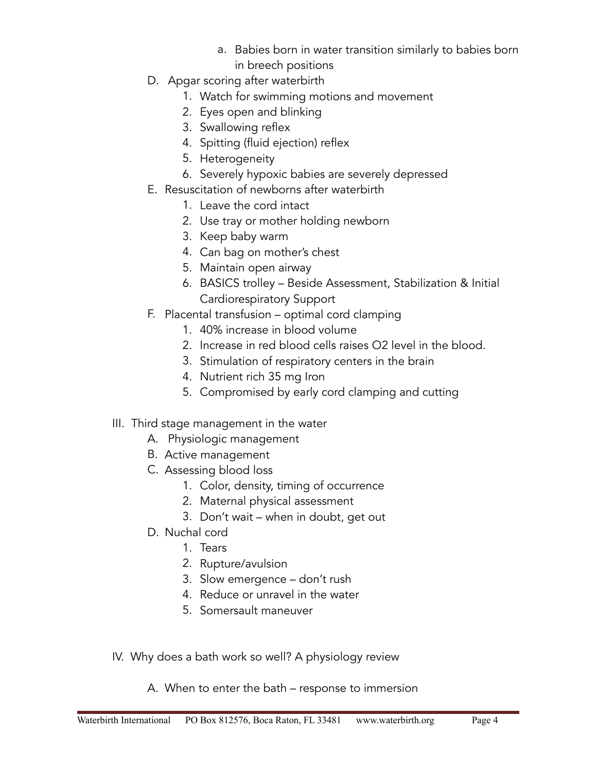- a. Babies born in water transition similarly to babies born in breech positions
- D. Apgar scoring after waterbirth
	- 1. Watch for swimming motions and movement
	- 2. Eyes open and blinking
	- 3. Swallowing reflex
	- 4. Spitting (fluid ejection) reflex
	- 5. Heterogeneity
	- 6. Severely hypoxic babies are severely depressed
- E. Resuscitation of newborns after waterbirth
	- 1. Leave the cord intact
	- 2. Use tray or mother holding newborn
	- 3. Keep baby warm
	- 4. Can bag on mother's chest
	- 5. Maintain open airway
	- 6. BASICS trolley Beside Assessment, Stabilization & Initial Cardiorespiratory Support
- F. Placental transfusion optimal cord clamping
	- 1. 40% increase in blood volume
	- 2. Increase in red blood cells raises O2 level in the blood.
	- 3. Stimulation of respiratory centers in the brain
	- 4. Nutrient rich 35 mg Iron
	- 5. Compromised by early cord clamping and cutting
- III. Third stage management in the water
	- A. Physiologic management
	- B. Active management
	- C. Assessing blood loss
		- 1. Color, density, timing of occurrence
		- 2. Maternal physical assessment
		- 3. Don't wait when in doubt, get out
	- D. Nuchal cord
		- 1. Tears
		- 2. Rupture/avulsion
		- 3. Slow emergence don't rush
		- 4. Reduce or unravel in the water
		- 5. Somersault maneuver
- IV. Why does a bath work so well? A physiology review
	- A. When to enter the bath response to immersion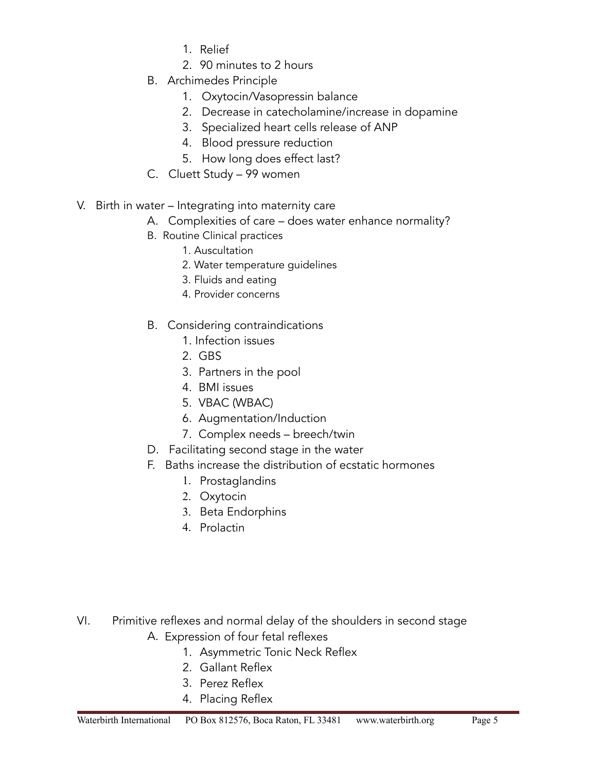- 1. Relief
- 2. 90 minutes to 2 hours
- B. Archimedes Principle
	- 1. Oxytocin/Vasopressin balance
	- 2. Decrease in catecholamine/increase in dopamine
	- 3. Specialized heart cells release of ANP
	- 4. Blood pressure reduction
	- 5. How long does effect last?
- C. Cluett Study 99 women
- V. Birth in water Integrating into maternity care
	- A. Complexities of care does water enhance normality?
	- B. Routine Clinical practices
		- 1. Auscultation
		- 2. Water temperature guidelines
		- 3. Fluids and eating
		- 4. Provider concerns
	- B. Considering contraindications
		- 1. Infection issues
		- 2. GBS
		- 3. Partners in the pool
		- 4. BMI issues
		- 5. VBAC (WBAC)
		- 6. Augmentation/Induction
		- 7. Complex needs breech/twin
	- D. Facilitating second stage in the water
	- F. Baths increase the distribution of ecstatic hormones
		- 1. Prostaglandins
		- 2. Oxytocin
		- 3. Beta Endorphins
		- 4. Prolactin

- VI. Primitive reflexes and normal delay of the shoulders in second stage A. Expression of four fetal reflexes
	- 1. Asymmetric Tonic Neck Reflex
	- 2. Gallant Reflex
	- 3. Perez Reflex
	- 4. Placing Reflex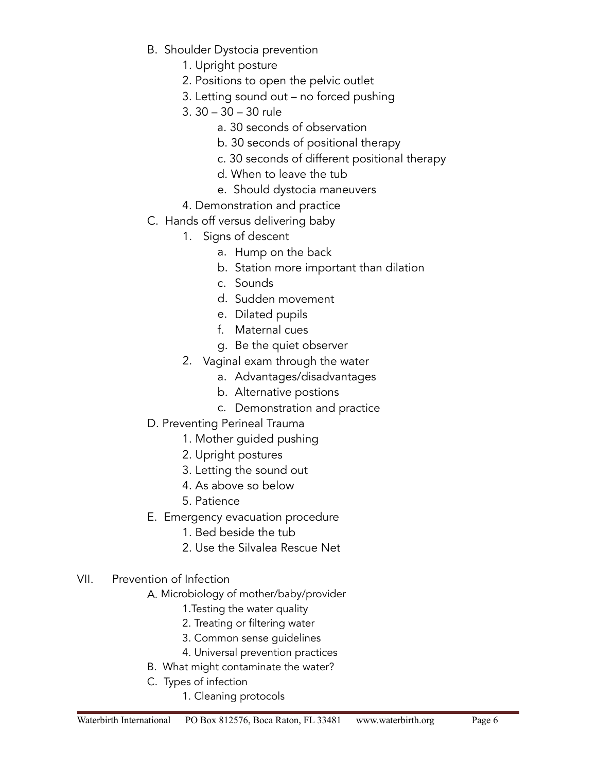- B. Shoulder Dystocia prevention
	- 1. Upright posture
	- 2. Positions to open the pelvic outlet
	- 3. Letting sound out no forced pushing
	- 3. 30 30 30 rule
		- a. 30 seconds of observation
		- b. 30 seconds of positional therapy
		- c. 30 seconds of different positional therapy
		- d. When to leave the tub
		- e. Should dystocia maneuvers
	- 4. Demonstration and practice
- C. Hands off versus delivering baby
	- 1. Signs of descent
		- a. Hump on the back
		- b. Station more important than dilation
		- c. Sounds
		- d. Sudden movement
		- e. Dilated pupils
		- f. Maternal cues
		- g. Be the quiet observer
	- 2. Vaginal exam through the water
		- a. Advantages/disadvantages
		- b. Alternative postions
		- c. Demonstration and practice
- D. Preventing Perineal Trauma
	- 1. Mother guided pushing
	- 2. Upright postures
	- 3. Letting the sound out
	- 4. As above so below
	- 5. Patience
- E. Emergency evacuation procedure
	- 1. Bed beside the tub
	- 2. Use the Silvalea Rescue Net

### VII. Prevention of Infection

- A. Microbiology of mother/baby/provider
	- 1.Testing the water quality
	- 2. Treating or filtering water
	- 3. Common sense guidelines
	- 4. Universal prevention practices
- B. What might contaminate the water?
- C. Types of infection
	- 1. Cleaning protocols